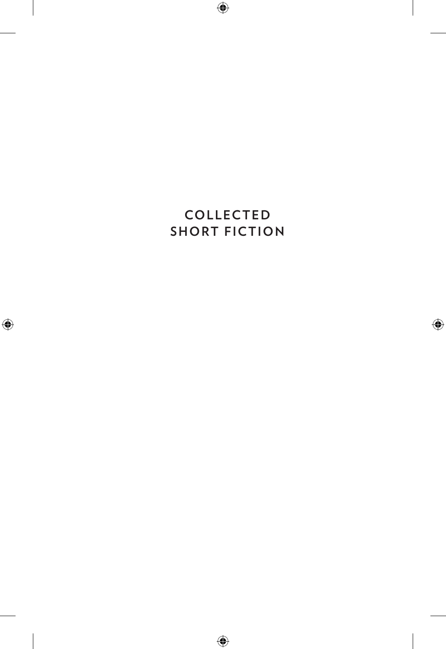# **CO L L EC T E D SHORT FICTION**

 $\bigoplus$ 

 $\bigoplus$ 

 $\overline{\phantom{a}}$ 

 $\bigoplus$ 

 $\overline{\phantom{a}}$ 

 $\bigoplus$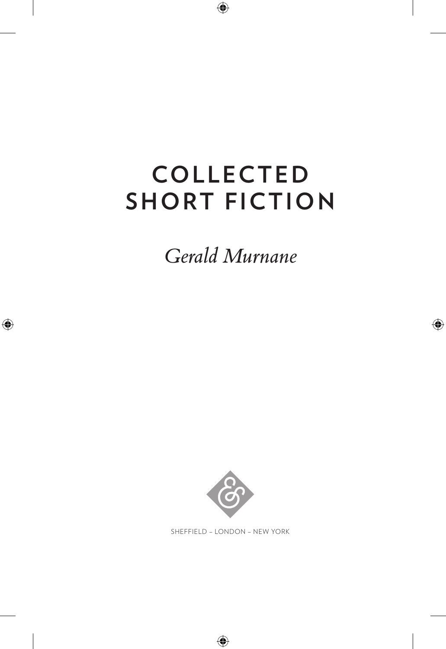# **CO L L EC T E D SHORT FICTION**

 $\bigoplus$ 

*Gerald Murnane*

⊕

⊕



SHEFFIELD – LONDON – NEW YORK

 $\bigoplus$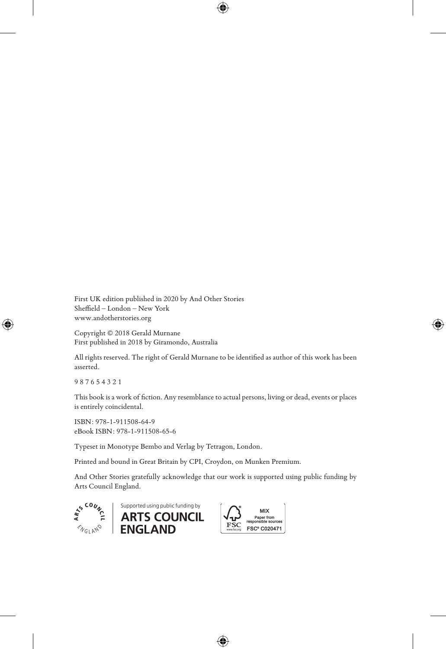First UK edition published in 2020 by And Other Stories Sheffield – London – New York www.andotherstories.org

Copyright © 2018 Gerald Murnane First published in 2018 by Giramondo, Australia

All rights reserved. The right of Gerald Murnane to be identified as author of this work has been asserted.

⊕

9 8 7 6 5 4 3 2 1

⊕

This book is a work of fiction. Any resemblance to actual persons, living or dead, events or places is entirely coincidental.

ISBN: 978-1-911508-64-9 eBook ISBN: 978-1-911508-65-6

Typeset in Monotype Bembo and Verlag by Tetragon, London.

Printed and bound in Great Britain by CPI, Croydon, on Munken Premium.

And Other Stories gratefully acknowledge that our work is supported using public funding by Arts Council England.

⊕





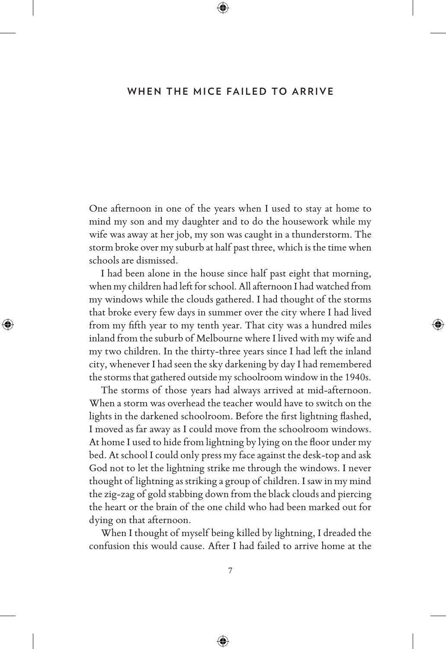# **WHEN THE MICE FAILED TO ARRIVE**

One afternoon in one of the years when I used to stay at home to mind my son and my daughter and to do the housework while my wife was away at her job, my son was caught in a thunderstorm. The storm broke over my suburb at half past three, which is the time when schools are dismissed.

I had been alone in the house since half past eight that morning, when my children had left for school. All afternoon I had watched from my windows while the clouds gathered. I had thought of the storms that broke every few days in summer over the city where I had lived from my fifth year to my tenth year. That city was a hundred miles inland from the suburb of Melbourne where I lived with my wife and my two children. In the thirty-three years since I had left the inland city, whenever I had seen the sky darkening by day I had remembered the storms that gathered outside my schoolroom window in the 1940s.

⊕

The storms of those years had always arrived at mid-afternoon. When a storm was overhead the teacher would have to switch on the lights in the darkened schoolroom. Before the first lightning flashed, I moved as far away as I could move from the schoolroom windows. At home I used to hide from lightning by lying on the floor under my bed. At school I could only press my face against the desk-top and ask God not to let the lightning strike me through the windows. I never thought of lightning as striking a group of children. I saw in my mind the zig-zag of gold stabbing down from the black clouds and piercing the heart or the brain of the one child who had been marked out for dying on that afternoon.

When I thought of myself being killed by lightning, I dreaded the confusion this would cause. After I had failed to arrive home at the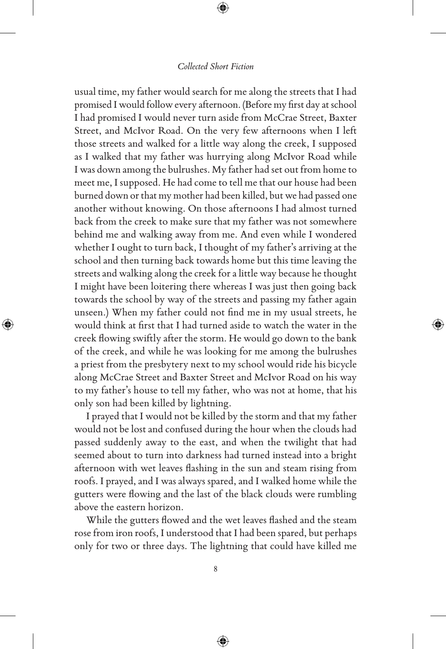⊕

usual time, my father would search for me along the streets that I had promised I would follow every afternoon. (Before my first day at school I had promised I would never turn aside from McCrae Street, Baxter Street, and McIvor Road. On the very few afternoons when I left those streets and walked for a little way along the creek, I supposed as I walked that my father was hurrying along McIvor Road while I was down among the bulrushes. My father had set out from home to meet me, I supposed. He had come to tell me that our house had been burned down or that my mother had been killed, but we had passed one another without knowing. On those afternoons I had almost turned back from the creek to make sure that my father was not somewhere behind me and walking away from me. And even while I wondered whether I ought to turn back, I thought of my father's arriving at the school and then turning back towards home but this time leaving the streets and walking along the creek for a little way because he thought I might have been loitering there whereas I was just then going back towards the school by way of the streets and passing my father again unseen.) When my father could not find me in my usual streets, he would think at first that I had turned aside to watch the water in the creek flowing swiftly after the storm. He would go down to the bank of the creek, and while he was looking for me among the bulrushes a priest from the presbytery next to my school would ride his bicycle along McCrae Street and Baxter Street and McIvor Road on his way to my father's house to tell my father, who was not at home, that his only son had been killed by lightning.

⊕

I prayed that I would not be killed by the storm and that my father would not be lost and confused during the hour when the clouds had passed suddenly away to the east, and when the twilight that had seemed about to turn into darkness had turned instead into a bright afternoon with wet leaves flashing in the sun and steam rising from roofs. I prayed, and I was always spared, and I walked home while the gutters were flowing and the last of the black clouds were rumbling above the eastern horizon.

While the gutters flowed and the wet leaves flashed and the steam rose from iron roofs, I understood that I had been spared, but perhaps only for two or three days. The lightning that could have killed me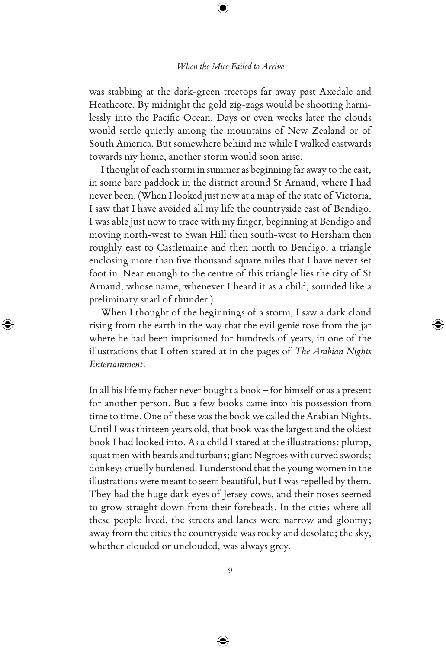was stabbing at the dark-green treetops far away past Axedale and Heathcote. By midnight the gold zig-zags would be shooting harmlessly into the Pacific Ocean. Days or even weeks later the clouds would settle quietly among the mountains of New Zealand or of South America. But somewhere behind me while I walked eastwards towards my home, another storm would soon arise.

I thought of each storm in summer as beginning far away to the east, in some bare paddock in the district around St Arnaud, where I had never been. (When I looked just now at a map of the state of Victoria, I saw that I have avoided all my life the countryside east of Bendigo. I was able just now to trace with my finger, beginning at Bendigo and moving north-west to Swan Hill then south-west to Horsham then roughly east to Castlemaine and then north to Bendigo, a triangle enclosing more than five thousand square miles that I have never set foot in. Near enough to the centre of this triangle lies the city of St Arnaud, whose name, whenever I heard it as a child, sounded like a preliminary snarl of thunder.)

When I thought of the beginnings of a storm, I saw a dark cloud rising from the earth in the way that the evil genie rose from the jar where he had been imprisoned for hundreds of years, in one of the illustrations that I often stared at in the pages of *The Arabian Nights Entertainment*.

⊕

In all his life my father never bought a book – for himself or as a present for another person. But a few books came into his possession from time to time. One of these was the book we called the Arabian Nights. Until I was thirteen years old, that book was the largest and the oldest book I had looked into. As a child I stared at the illustrations: plump, squat men with beards and turbans; giant Negroes with curved swords; donkeys cruelly burdened. I understood that the young women in the illustrations were meant to seem beautiful, but I was repelled by them. They had the huge dark eyes of Jersey cows, and their noses seemed to grow straight down from their foreheads. In the cities where all these people lived, the streets and lanes were narrow and gloomy; away from the cities the countryside was rocky and desolate; the sky, whether clouded or unclouded, was always grey.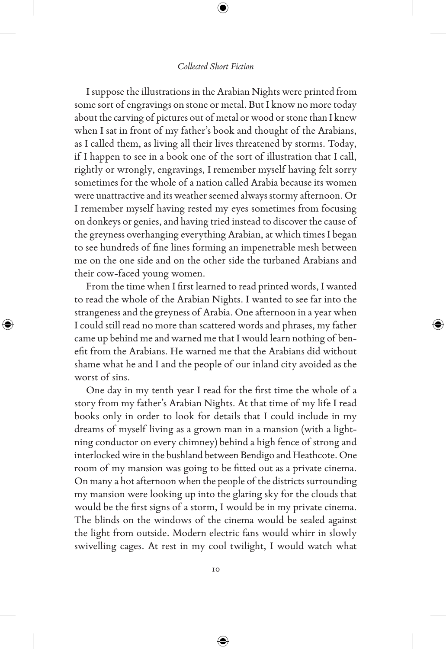I suppose the illustrations in the Arabian Nights were printed from some sort of engravings on stone or metal. But I know no more today about the carving of pictures out of metal or wood or stone than I knew when I sat in front of my father's book and thought of the Arabians, as I called them, as living all their lives threatened by storms. Today, if I happen to see in a book one of the sort of illustration that I call, rightly or wrongly, engravings, I remember myself having felt sorry sometimes for the whole of a nation called Arabia because its women were unattractive and its weather seemed always stormy afternoon. Or I remember myself having rested my eyes sometimes from focusing on donkeys or genies, and having tried instead to discover the cause of the greyness overhanging everything Arabian, at which times I began to see hundreds of fine lines forming an impenetrable mesh between me on the one side and on the other side the turbaned Arabians and their cow-faced young women.

From the time when I first learned to read printed words, I wanted to read the whole of the Arabian Nights. I wanted to see far into the strangeness and the greyness of Arabia. One afternoon in a year when I could still read no more than scattered words and phrases, my father came up behind me and warned me that I would learn nothing of benefit from the Arabians. He warned me that the Arabians did without shame what he and I and the people of our inland city avoided as the worst of sins.

⊕

One day in my tenth year I read for the first time the whole of a story from my father's Arabian Nights. At that time of my life I read books only in order to look for details that I could include in my dreams of myself living as a grown man in a mansion (with a lightning conductor on every chimney) behind a high fence of strong and interlocked wire in the bushland between Bendigo and Heathcote. One room of my mansion was going to be fitted out as a private cinema. On many a hot afternoon when the people of the districts surrounding my mansion were looking up into the glaring sky for the clouds that would be the first signs of a storm, I would be in my private cinema. The blinds on the windows of the cinema would be sealed against the light from outside. Modern electric fans would whirr in slowly swivelling cages. At rest in my cool twilight, I would watch what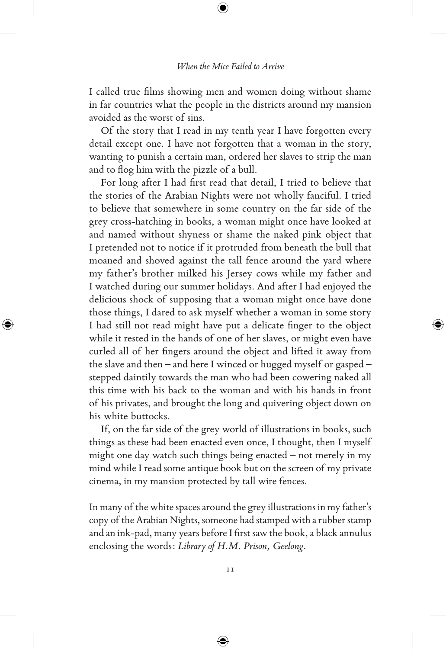⊕

I called true films showing men and women doing without shame in far countries what the people in the districts around my mansion avoided as the worst of sins.

Of the story that I read in my tenth year I have forgotten every detail except one. I have not forgotten that a woman in the story, wanting to punish a certain man, ordered her slaves to strip the man and to flog him with the pizzle of a bull.

For long after I had first read that detail, I tried to believe that the stories of the Arabian Nights were not wholly fanciful. I tried to believe that somewhere in some country on the far side of the grey cross-hatching in books, a woman might once have looked at and named without shyness or shame the naked pink object that I pretended not to notice if it protruded from beneath the bull that moaned and shoved against the tall fence around the yard where my father's brother milked his Jersey cows while my father and I watched during our summer holidays. And after I had enjoyed the delicious shock of supposing that a woman might once have done those things, I dared to ask myself whether a woman in some story I had still not read might have put a delicate finger to the object while it rested in the hands of one of her slaves, or might even have curled all of her fingers around the object and lifted it away from the slave and then – and here I winced or hugged myself or gasped – stepped daintily towards the man who had been cowering naked all this time with his back to the woman and with his hands in front of his privates, and brought the long and quivering object down on his white buttocks.

⊕

If, on the far side of the grey world of illustrations in books, such things as these had been enacted even once, I thought, then I myself might one day watch such things being enacted – not merely in my mind while I read some antique book but on the screen of my private cinema, in my mansion protected by tall wire fences.

In many of the white spaces around the grey illustrations in my father's copy of the Arabian Nights, someone had stamped with a rubber stamp and an ink-pad, many years before I first saw the book, a black annulus enclosing the words: *Library of H.M. Prison, Geelong*.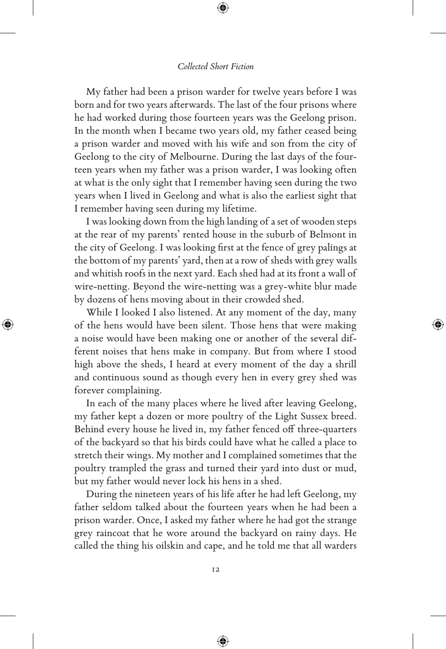My father had been a prison warder for twelve years before I was born and for two years afterwards. The last of the four prisons where he had worked during those fourteen years was the Geelong prison. In the month when I became two years old, my father ceased being a prison warder and moved with his wife and son from the city of Geelong to the city of Melbourne. During the last days of the fourteen years when my father was a prison warder, I was looking often at what is the only sight that I remember having seen during the two years when I lived in Geelong and what is also the earliest sight that I remember having seen during my lifetime.

I was looking down from the high landing of a set of wooden steps at the rear of my parents' rented house in the suburb of Belmont in the city of Geelong. I was looking first at the fence of grey palings at the bottom of my parents' yard, then at a row of sheds with grey walls and whitish roofs in the next yard. Each shed had at its front a wall of wire-netting. Beyond the wire-netting was a grey-white blur made by dozens of hens moving about in their crowded shed.

While I looked I also listened. At any moment of the day, many of the hens would have been silent. Those hens that were making a noise would have been making one or another of the several different noises that hens make in company. But from where I stood high above the sheds, I heard at every moment of the day a shrill and continuous sound as though every hen in every grey shed was forever complaining.

⊕

In each of the many places where he lived after leaving Geelong, my father kept a dozen or more poultry of the Light Sussex breed. Behind every house he lived in, my father fenced off three-quarters of the backyard so that his birds could have what he called a place to stretch their wings. My mother and I complained sometimes that the poultry trampled the grass and turned their yard into dust or mud, but my father would never lock his hens in a shed.

During the nineteen years of his life after he had left Geelong, my father seldom talked about the fourteen years when he had been a prison warder. Once, I asked my father where he had got the strange grey raincoat that he wore around the backyard on rainy days. He called the thing his oilskin and cape, and he told me that all warders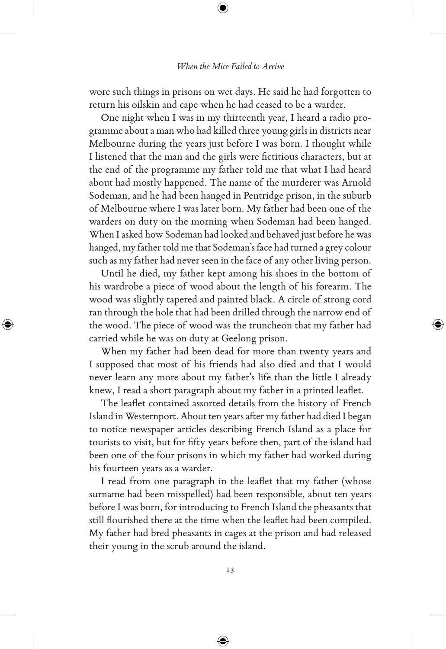⊕

wore such things in prisons on wet days. He said he had forgotten to return his oilskin and cape when he had ceased to be a warder.

One night when I was in my thirteenth year, I heard a radio programme about a man who had killed three young girls in districts near Melbourne during the years just before I was born. I thought while I listened that the man and the girls were fictitious characters, but at the end of the programme my father told me that what I had heard about had mostly happened. The name of the murderer was Arnold Sodeman, and he had been hanged in Pentridge prison, in the suburb of Melbourne where I was later born. My father had been one of the warders on duty on the morning when Sodeman had been hanged. When I asked how Sodeman had looked and behaved just before he was hanged, my father told me that Sodeman's face had turned a grey colour such as my father had never seen in the face of any other living person.

Until he died, my father kept among his shoes in the bottom of his wardrobe a piece of wood about the length of his forearm. The wood was slightly tapered and painted black. A circle of strong cord ran through the hole that had been drilled through the narrow end of the wood. The piece of wood was the truncheon that my father had carried while he was on duty at Geelong prison.

⊕

When my father had been dead for more than twenty years and I supposed that most of his friends had also died and that I would never learn any more about my father's life than the little I already knew, I read a short paragraph about my father in a printed leaflet.

The leaflet contained assorted details from the history of French Island in Westernport. About ten years after my father had died I began to notice newspaper articles describing French Island as a place for tourists to visit, but for fifty years before then, part of the island had been one of the four prisons in which my father had worked during his fourteen years as a warder.

I read from one paragraph in the leaflet that my father (whose surname had been misspelled) had been responsible, about ten years before I was born, for introducing to French Island the pheasants that still flourished there at the time when the leaflet had been compiled. My father had bred pheasants in cages at the prison and had released their young in the scrub around the island.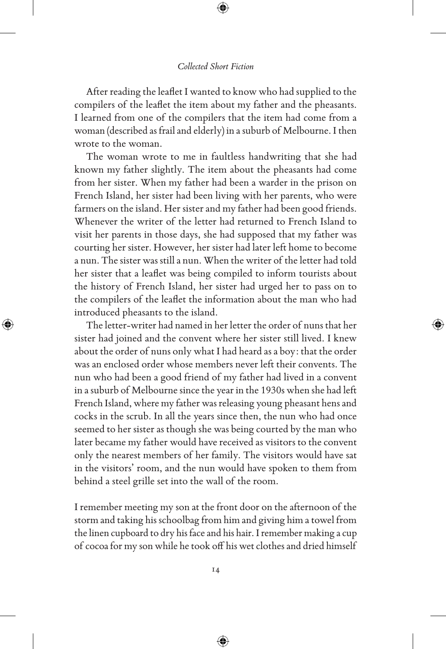⊕

After reading the leaflet I wanted to know who had supplied to the compilers of the leaflet the item about my father and the pheasants. I learned from one of the compilers that the item had come from a woman (described as frail and elderly) in a suburb of Melbourne. I then wrote to the woman.

The woman wrote to me in faultless handwriting that she had known my father slightly. The item about the pheasants had come from her sister. When my father had been a warder in the prison on French Island, her sister had been living with her parents, who were farmers on the island. Her sister and my father had been good friends. Whenever the writer of the letter had returned to French Island to visit her parents in those days, she had supposed that my father was courting her sister. However, her sister had later left home to become a nun. The sister was still a nun. When the writer of the letter had told her sister that a leaflet was being compiled to inform tourists about the history of French Island, her sister had urged her to pass on to the compilers of the leaflet the information about the man who had introduced pheasants to the island.

The letter-writer had named in her letter the order of nuns that her sister had joined and the convent where her sister still lived. I knew about the order of nuns only what I had heard as a boy: that the order was an enclosed order whose members never left their convents. The nun who had been a good friend of my father had lived in a convent in a suburb of Melbourne since the year in the 1930s when she had left French Island, where my father was releasing young pheasant hens and cocks in the scrub. In all the years since then, the nun who had once seemed to her sister as though she was being courted by the man who later became my father would have received as visitors to the convent only the nearest members of her family. The visitors would have sat in the visitors' room, and the nun would have spoken to them from behind a steel grille set into the wall of the room.

⊕

I remember meeting my son at the front door on the afternoon of the storm and taking his schoolbag from him and giving him a towel from the linen cupboard to dry his face and his hair. I remember making a cup of cocoa for my son while he took off his wet clothes and dried himself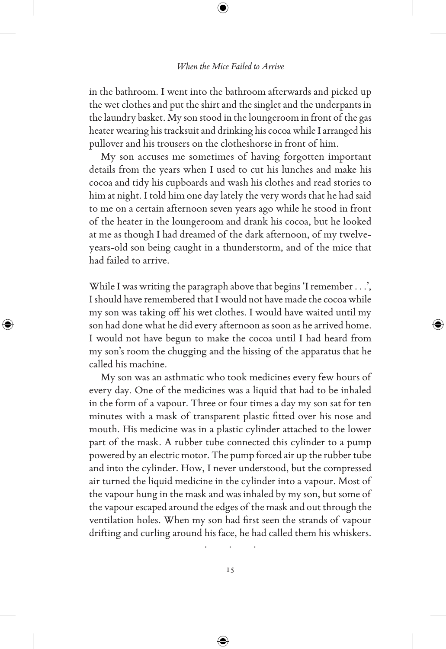⊕

in the bathroom. I went into the bathroom afterwards and picked up the wet clothes and put the shirt and the singlet and the underpants in the laundry basket. My son stood in the loungeroom in front of the gas heater wearing his tracksuit and drinking his cocoa while I arranged his pullover and his trousers on the clotheshorse in front of him.

My son accuses me sometimes of having forgotten important details from the years when I used to cut his lunches and make his cocoa and tidy his cupboards and wash his clothes and read stories to him at night. I told him one day lately the very words that he had said to me on a certain afternoon seven years ago while he stood in front of the heater in the loungeroom and drank his cocoa, but he looked at me as though I had dreamed of the dark afternoon, of my twelveyears-old son being caught in a thunderstorm, and of the mice that had failed to arrive.

While I was writing the paragraph above that begins 'I remember . . .', I should have remembered that I would not have made the cocoa while my son was taking of his wet clothes. I would have waited until my son had done what he did every afternoon as soon as he arrived home. I would not have begun to make the cocoa until I had heard from my son's room the chugging and the hissing of the apparatus that he called his machine.

⊕

My son was an asthmatic who took medicines every few hours of every day. One of the medicines was a liquid that had to be inhaled in the form of a vapour. Three or four times a day my son sat for ten minutes with a mask of transparent plastic fitted over his nose and mouth. His medicine was in a plastic cylinder attached to the lower part of the mask. A rubber tube connected this cylinder to a pump powered by an electric motor. The pump forced air up the rubber tube and into the cylinder. How, I never understood, but the compressed air turned the liquid medicine in the cylinder into a vapour. Most of the vapour hung in the mask and was inhaled by my son, but some of the vapour escaped around the edges of the mask and out through the ventilation holes. When my son had first seen the strands of vapour drifting and curling around his face, he had called them his whiskers.

⊕

 $\cdot$   $\cdot$   $\cdot$   $\cdot$   $\cdot$   $\cdot$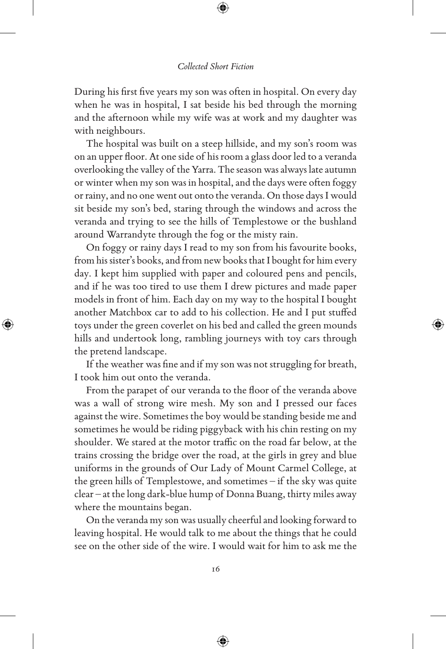⊕

During his first five years my son was often in hospital. On every day when he was in hospital, I sat beside his bed through the morning and the afternoon while my wife was at work and my daughter was with neighbours.

The hospital was built on a steep hillside, and my son's room was on an upper floor. At one side of his room a glass door led to a veranda overlooking the valley of the Yarra. The season was always late autumn or winter when my son was in hospital, and the days were often foggy or rainy, and no one went out onto the veranda. On those days I would sit beside my son's bed, staring through the windows and across the veranda and trying to see the hills of Templestowe or the bushland around Warrandyte through the fog or the misty rain.

On foggy or rainy days I read to my son from his favourite books, from his sister's books, and from new books that I bought for him every day. I kept him supplied with paper and coloured pens and pencils, and if he was too tired to use them I drew pictures and made paper models in front of him. Each day on my way to the hospital I bought another Matchbox car to add to his collection. He and I put stufed toys under the green coverlet on his bed and called the green mounds hills and undertook long, rambling journeys with toy cars through the pretend landscape.

⊕

If the weather was fine and if my son was not struggling for breath, I took him out onto the veranda.

From the parapet of our veranda to the floor of the veranda above was a wall of strong wire mesh. My son and I pressed our faces against the wire. Sometimes the boy would be standing beside me and sometimes he would be riding piggyback with his chin resting on my shoulder. We stared at the motor traffic on the road far below, at the trains crossing the bridge over the road, at the girls in grey and blue uniforms in the grounds of Our Lady of Mount Carmel College, at the green hills of Templestowe, and sometimes – if the sky was quite clear – at the long dark-blue hump of Donna Buang, thirty miles away where the mountains began.

On the veranda my son was usually cheerful and looking forward to leaving hospital. He would talk to me about the things that he could see on the other side of the wire. I would wait for him to ask me the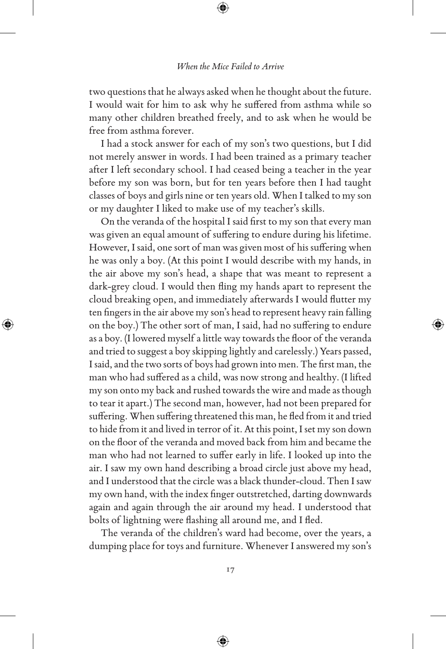⊕

two questions that he always asked when he thought about the future. I would wait for him to ask why he sufered from asthma while so many other children breathed freely, and to ask when he would be free from asthma forever.

I had a stock answer for each of my son's two questions, but I did not merely answer in words. I had been trained as a primary teacher after I left secondary school. I had ceased being a teacher in the year before my son was born, but for ten years before then I had taught classes of boys and girls nine or ten years old. When I talked to my son or my daughter I liked to make use of my teacher's skills.

On the veranda of the hospital I said first to my son that every man was given an equal amount of sufering to endure during his lifetime. However, I said, one sort of man was given most of his sufering when he was only a boy. (At this point I would describe with my hands, in the air above my son's head, a shape that was meant to represent a dark-grey cloud. I would then fling my hands apart to represent the cloud breaking open, and immediately afterwards I would flutter my ten fingers in the air above my son's head to represent heavy rain falling on the boy.) The other sort of man, I said, had no sufering to endure as a boy. (I lowered myself a little way towards the floor of the veranda and tried to suggest a boy skipping lightly and carelessly.) Years passed, I said, and the two sorts of boys had grown into men. The first man, the man who had sufered as a child, was now strong and healthy. (I lifted my son onto my back and rushed towards the wire and made as though to tear it apart.) The second man, however, had not been prepared for sufering. When sufering threatened this man, he fled from it and tried to hide from it and lived in terror of it. At this point, I set my son down on the floor of the veranda and moved back from him and became the man who had not learned to sufer early in life. I looked up into the air. I saw my own hand describing a broad circle just above my head, and I understood that the circle was a black thunder-cloud. Then I saw my own hand, with the index finger outstretched, darting downwards again and again through the air around my head. I understood that bolts of lightning were flashing all around me, and I fled.

⊕

The veranda of the children's ward had become, over the years, a dumping place for toys and furniture. Whenever I answered my son's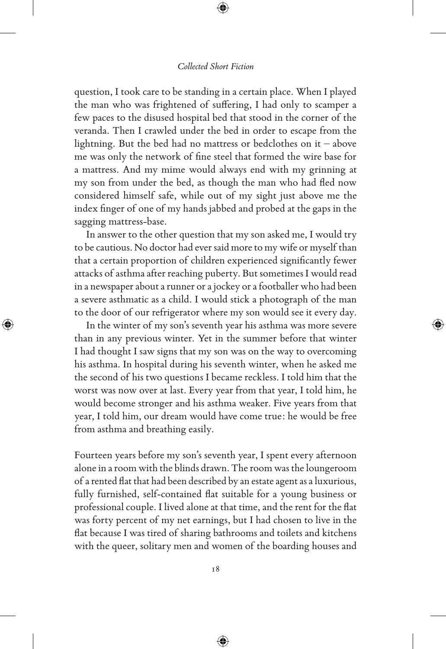⊕

question, I took care to be standing in a certain place. When I played the man who was frightened of sufering, I had only to scamper a few paces to the disused hospital bed that stood in the corner of the veranda. Then I crawled under the bed in order to escape from the lightning. But the bed had no mattress or bedclothes on it – above me was only the network of fine steel that formed the wire base for a mattress. And my mime would always end with my grinning at my son from under the bed, as though the man who had fled now considered himself safe, while out of my sight just above me the index finger of one of my hands jabbed and probed at the gaps in the sagging mattress-base.

In answer to the other question that my son asked me, I would try to be cautious. No doctor had ever said more to my wife or myself than that a certain proportion of children experienced significantly fewer attacks of asthma after reaching puberty. But sometimes I would read in a newspaper about a runner or a jockey or a footballer who had been a severe asthmatic as a child. I would stick a photograph of the man to the door of our refrigerator where my son would see it every day.

⊕

⊕

In the winter of my son's seventh year his asthma was more severe than in any previous winter. Yet in the summer before that winter I had thought I saw signs that my son was on the way to overcoming his asthma. In hospital during his seventh winter, when he asked me the second of his two questions I became reckless. I told him that the worst was now over at last. Every year from that year, I told him, he would become stronger and his asthma weaker. Five years from that year, I told him, our dream would have come true: he would be free from asthma and breathing easily.

Fourteen years before my son's seventh year, I spent every afternoon alone in a room with the blinds drawn. The room was the loungeroom of a rented flat that had been described by an estate agent as a luxurious, fully furnished, self-contained flat suitable for a young business or professional couple. I lived alone at that time, and the rent for the flat was forty percent of my net earnings, but I had chosen to live in the flat because I was tired of sharing bathrooms and toilets and kitchens with the queer, solitary men and women of the boarding houses and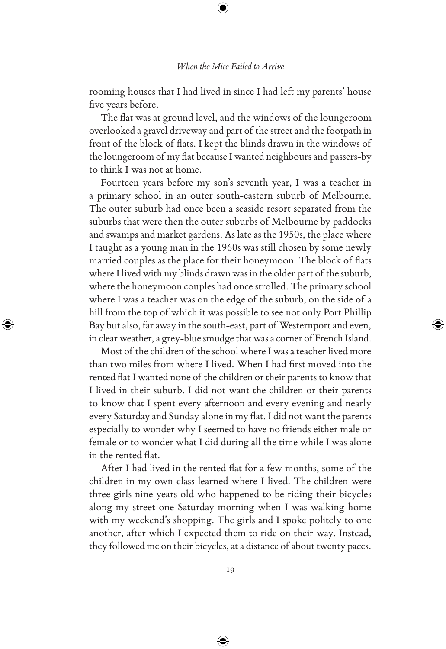⊕

rooming houses that I had lived in since I had left my parents' house five years before.

The flat was at ground level, and the windows of the loungeroom overlooked a gravel driveway and part of the street and the footpath in front of the block of flats. I kept the blinds drawn in the windows of the loungeroom of my flat because I wanted neighbours and passers-by to think I was not at home.

Fourteen years before my son's seventh year, I was a teacher in a primary school in an outer south-eastern suburb of Melbourne. The outer suburb had once been a seaside resort separated from the suburbs that were then the outer suburbs of Melbourne by paddocks and swamps and market gardens. As late as the 1950s, the place where I taught as a young man in the 1960s was still chosen by some newly married couples as the place for their honeymoon. The block of flats where I lived with my blinds drawn was in the older part of the suburb, where the honeymoon couples had once strolled. The primary school where I was a teacher was on the edge of the suburb, on the side of a hill from the top of which it was possible to see not only Port Phillip Bay but also, far away in the south-east, part of Westernport and even, in clear weather, a grey-blue smudge that was a corner of French Island.

⊕

Most of the children of the school where I was a teacher lived more than two miles from where I lived. When I had first moved into the rented flat I wanted none of the children or their parents to know that I lived in their suburb. I did not want the children or their parents to know that I spent every afternoon and every evening and nearly every Saturday and Sunday alone in my flat. I did not want the parents especially to wonder why I seemed to have no friends either male or female or to wonder what I did during all the time while I was alone in the rented flat.

After I had lived in the rented flat for a few months, some of the children in my own class learned where I lived. The children were three girls nine years old who happened to be riding their bicycles along my street one Saturday morning when I was walking home with my weekend's shopping. The girls and I spoke politely to one another, after which I expected them to ride on their way. Instead, they followed me on their bicycles, at a distance of about twenty paces.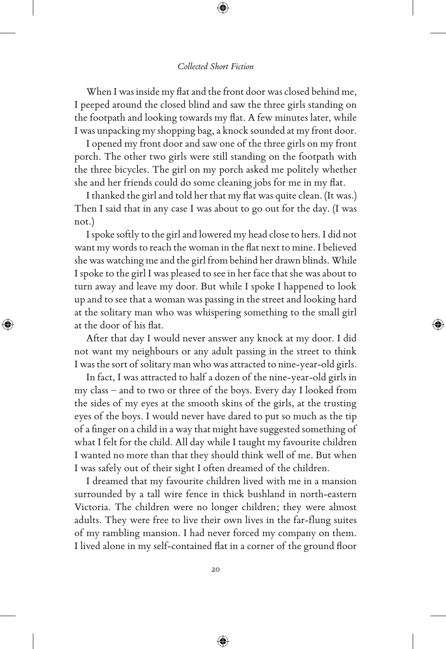⊕

When I was inside my flat and the front door was closed behind me, I peeped around the closed blind and saw the three girls standing on the footpath and looking towards my flat. A few minutes later, while I was unpacking my shopping bag, a knock sounded at my front door.

I opened my front door and saw one of the three girls on my front porch. The other two girls were still standing on the footpath with the three bicycles. The girl on my porch asked me politely whether she and her friends could do some cleaning jobs for me in my flat.

I thanked the girl and told her that my flat was quite clean. (It was.) Then I said that in any case I was about to go out for the day. (I was not.)

I spoke softly to the girl and lowered my head close to hers. I did not want my words to reach the woman in the flat next to mine. I believed she was watching me and the girl from behind her drawn blinds. While I spoke to the girl I was pleased to see in her face that she was about to turn away and leave my door. But while I spoke I happened to look up and to see that a woman was passing in the street and looking hard at the solitary man who was whispering something to the small girl at the door of his flat.

After that day I would never answer any knock at my door. I did not want my neighbours or any adult passing in the street to think I was the sort of solitary man who was attracted to nine-year-old girls.

⊕

In fact, I was attracted to half a dozen of the nine-year-old girls in my class – and to two or three of the boys. Every day I looked from the sides of my eyes at the smooth skins of the girls, at the trusting eyes of the boys. I would never have dared to put so much as the tip of a finger on a child in a way that might have suggested something of what I felt for the child. All day while I taught my favourite children I wanted no more than that they should think well of me. But when I was safely out of their sight I often dreamed of the children.

I dreamed that my favourite children lived with me in a mansion surrounded by a tall wire fence in thick bushland in north-eastern Victoria. The children were no longer children; they were almost adults. They were free to live their own lives in the far-flung suites of my rambling mansion. I had never forced my company on them. I lived alone in my self-contained flat in a corner of the ground floor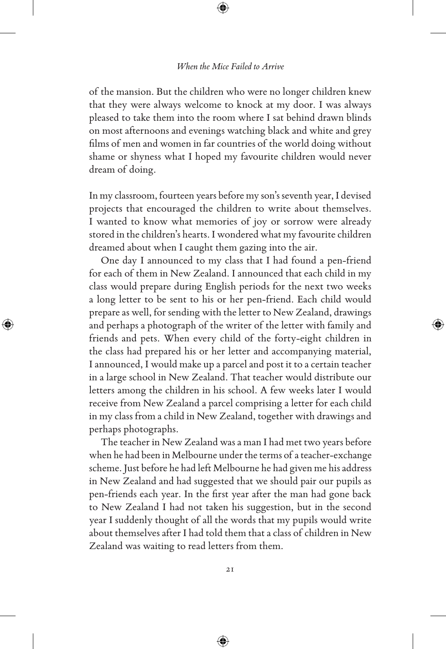⊕

of the mansion. But the children who were no longer children knew that they were always welcome to knock at my door. I was always pleased to take them into the room where I sat behind drawn blinds on most afternoons and evenings watching black and white and grey films of men and women in far countries of the world doing without shame or shyness what I hoped my favourite children would never dream of doing.

In my classroom, fourteen years before my son's seventh year, I devised projects that encouraged the children to write about themselves. I wanted to know what memories of joy or sorrow were already stored in the children's hearts. I wondered what my favourite children dreamed about when I caught them gazing into the air.

One day I announced to my class that I had found a pen-friend for each of them in New Zealand. I announced that each child in my class would prepare during English periods for the next two weeks a long letter to be sent to his or her pen-friend. Each child would prepare as well, for sending with the letter to New Zealand, drawings and perhaps a photograph of the writer of the letter with family and friends and pets. When every child of the forty-eight children in the class had prepared his or her letter and accompanying material, I announced, I would make up a parcel and post it to a certain teacher in a large school in New Zealand. That teacher would distribute our letters among the children in his school. A few weeks later I would receive from New Zealand a parcel comprising a letter for each child in my class from a child in New Zealand, together with drawings and perhaps photographs.

⊕

The teacher in New Zealand was a man I had met two years before when he had been in Melbourne under the terms of a teacher-exchange scheme. Just before he had left Melbourne he had given me his address in New Zealand and had suggested that we should pair our pupils as pen-friends each year. In the first year after the man had gone back to New Zealand I had not taken his suggestion, but in the second year I suddenly thought of all the words that my pupils would write about themselves after I had told them that a class of children in New Zealand was waiting to read letters from them.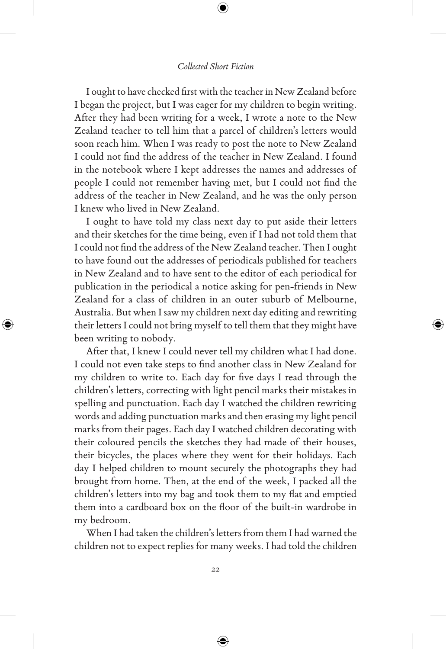⊕

I ought to have checked first with the teacher in New Zealand before I began the project, but I was eager for my children to begin writing. After they had been writing for a week, I wrote a note to the New Zealand teacher to tell him that a parcel of children's letters would soon reach him. When I was ready to post the note to New Zealand I could not find the address of the teacher in New Zealand. I found in the notebook where I kept addresses the names and addresses of people I could not remember having met, but I could not find the address of the teacher in New Zealand, and he was the only person I knew who lived in New Zealand.

I ought to have told my class next day to put aside their letters and their sketches for the time being, even if I had not told them that I could not find the address of the New Zealand teacher. Then I ought to have found out the addresses of periodicals published for teachers in New Zealand and to have sent to the editor of each periodical for publication in the periodical a notice asking for pen-friends in New Zealand for a class of children in an outer suburb of Melbourne, Australia. But when I saw my children next day editing and rewriting their letters I could not bring myself to tell them that they might have been writing to nobody.

⊕

After that, I knew I could never tell my children what I had done. I could not even take steps to find another class in New Zealand for my children to write to. Each day for five days I read through the children's letters, correcting with light pencil marks their mistakes in spelling and punctuation. Each day I watched the children rewriting words and adding punctuation marks and then erasing my light pencil marks from their pages. Each day I watched children decorating with their coloured pencils the sketches they had made of their houses, their bicycles, the places where they went for their holidays. Each day I helped children to mount securely the photographs they had brought from home. Then, at the end of the week, I packed all the children's letters into my bag and took them to my flat and emptied them into a cardboard box on the floor of the built-in wardrobe in my bedroom.

When I had taken the children's letters from them I had warned the children not to expect replies for many weeks. I had told the children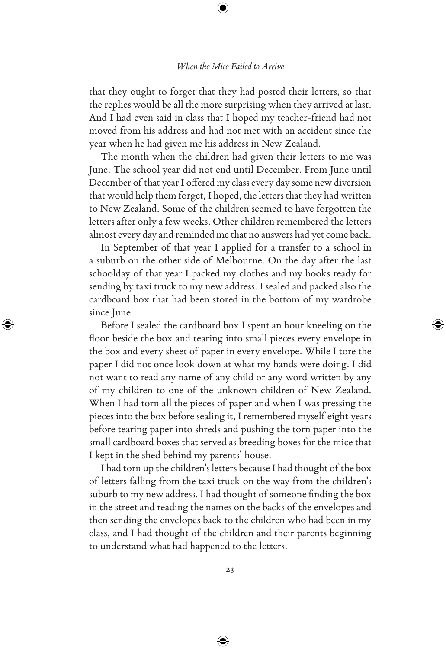that they ought to forget that they had posted their letters, so that the replies would be all the more surprising when they arrived at last. And I had even said in class that I hoped my teacher-friend had not moved from his address and had not met with an accident since the year when he had given me his address in New Zealand.

The month when the children had given their letters to me was June. The school year did not end until December. From June until December of that year I offered my class every day some new diversion that would help them forget, I hoped, the letters that they had written to New Zealand. Some of the children seemed to have forgotten the letters after only a few weeks. Other children remembered the letters almost every day and reminded me that no answers had yet come back.

In September of that year I applied for a transfer to a school in a suburb on the other side of Melbourne. On the day after the last schoolday of that year I packed my clothes and my books ready for sending by taxi truck to my new address. I sealed and packed also the cardboard box that had been stored in the bottom of my wardrobe since June.

⊕

Before I sealed the cardboard box I spent an hour kneeling on the floor beside the box and tearing into small pieces every envelope in the box and every sheet of paper in every envelope. While I tore the paper I did not once look down at what my hands were doing. I did not want to read any name of any child or any word written by any of my children to one of the unknown children of New Zealand. When I had torn all the pieces of paper and when I was pressing the pieces into the box before sealing it, I remembered myself eight years before tearing paper into shreds and pushing the torn paper into the small cardboard boxes that served as breeding boxes for the mice that I kept in the shed behind my parents' house.

I had torn up the children's letters because I had thought of the box of letters falling from the taxi truck on the way from the children's suburb to my new address. I had thought of someone finding the box in the street and reading the names on the backs of the envelopes and then sending the envelopes back to the children who had been in my class, and I had thought of the children and their parents beginning to understand what had happened to the letters.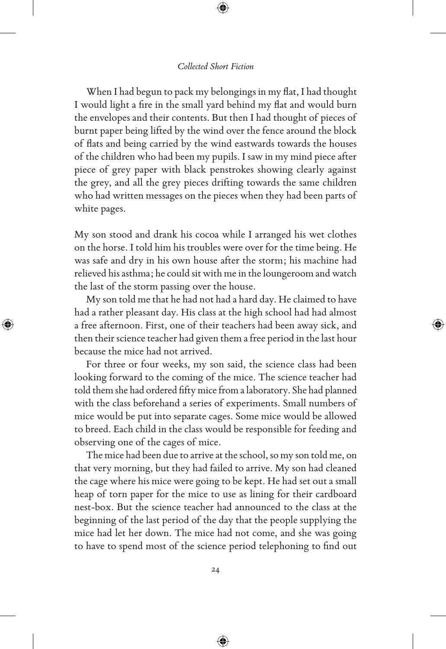⊕

When I had begun to pack my belongings in my flat, I had thought I would light a fire in the small yard behind my flat and would burn the envelopes and their contents. But then I had thought of pieces of burnt paper being lifted by the wind over the fence around the block of flats and being carried by the wind eastwards towards the houses of the children who had been my pupils. I saw in my mind piece after piece of grey paper with black penstrokes showing clearly against the grey, and all the grey pieces drifting towards the same children who had written messages on the pieces when they had been parts of white pages.

My son stood and drank his cocoa while I arranged his wet clothes on the horse. I told him his troubles were over for the time being. He was safe and dry in his own house after the storm; his machine had relieved his asthma; he could sit with me in the loungeroom and watch the last of the storm passing over the house.

My son told me that he had not had a hard day. He claimed to have had a rather pleasant day. His class at the high school had had almost a free afternoon. First, one of their teachers had been away sick, and then their science teacher had given them a free period in the last hour because the mice had not arrived.

⊕

For three or four weeks, my son said, the science class had been looking forward to the coming of the mice. The science teacher had told them she had ordered fifty mice from a laboratory. She had planned with the class beforehand a series of experiments. Small numbers of mice would be put into separate cages. Some mice would be allowed to breed. Each child in the class would be responsible for feeding and observing one of the cages of mice.

The mice had been due to arrive at the school, so my son told me, on that very morning, but they had failed to arrive. My son had cleaned the cage where his mice were going to be kept. He had set out a small heap of torn paper for the mice to use as lining for their cardboard nest-box. But the science teacher had announced to the class at the beginning of the last period of the day that the people supplying the mice had let her down. The mice had not come, and she was going to have to spend most of the science period telephoning to find out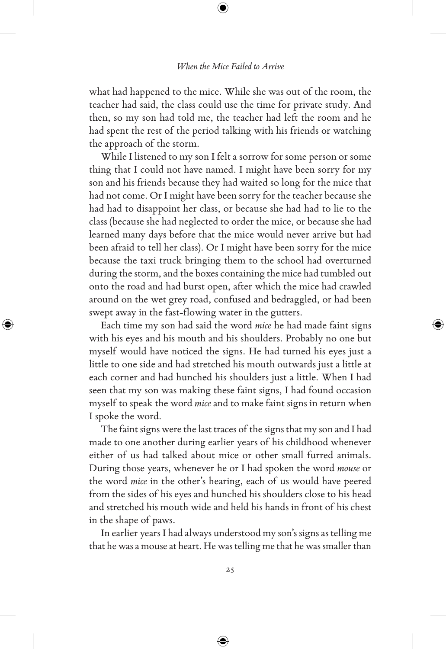⊕

what had happened to the mice. While she was out of the room, the teacher had said, the class could use the time for private study. And then, so my son had told me, the teacher had left the room and he had spent the rest of the period talking with his friends or watching the approach of the storm.

While I listened to my son I felt a sorrow for some person or some thing that I could not have named. I might have been sorry for my son and his friends because they had waited so long for the mice that had not come. Or I might have been sorry for the teacher because she had had to disappoint her class, or because she had had to lie to the class (because she had neglected to order the mice, or because she had learned many days before that the mice would never arrive but had been afraid to tell her class). Or I might have been sorry for the mice because the taxi truck bringing them to the school had overturned during the storm, and the boxes containing the mice had tumbled out onto the road and had burst open, after which the mice had crawled around on the wet grey road, confused and bedraggled, or had been swept away in the fast-flowing water in the gutters.

Each time my son had said the word *mice* he had made faint signs with his eyes and his mouth and his shoulders. Probably no one but myself would have noticed the signs. He had turned his eyes just a little to one side and had stretched his mouth outwards just a little at each corner and had hunched his shoulders just a little. When I had seen that my son was making these faint signs, I had found occasion myself to speak the word *mice* and to make faint signs in return when I spoke the word.

⊕

The faint signs were the last traces of the signs that my son and I had made to one another during earlier years of his childhood whenever either of us had talked about mice or other small furred animals. During those years, whenever he or I had spoken the word *mouse* or the word *mice* in the other's hearing, each of us would have peered from the sides of his eyes and hunched his shoulders close to his head and stretched his mouth wide and held his hands in front of his chest in the shape of paws.

In earlier years I had always understood my son's signs as telling me that he was a mouse at heart. He was telling me that he was smaller than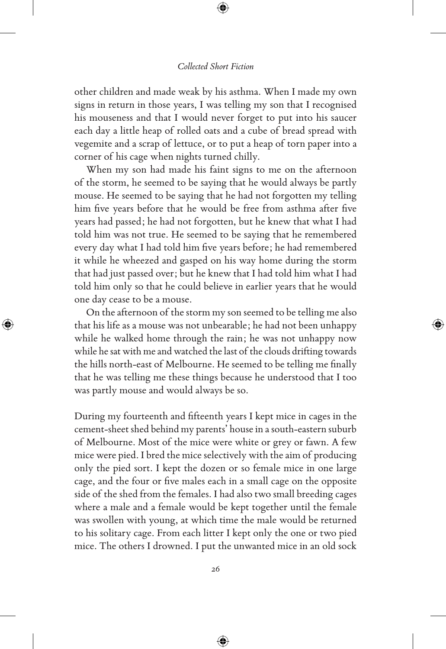⊕

other children and made weak by his asthma. When I made my own signs in return in those years, I was telling my son that I recognised his mouseness and that I would never forget to put into his saucer each day a little heap of rolled oats and a cube of bread spread with vegemite and a scrap of lettuce, or to put a heap of torn paper into a corner of his cage when nights turned chilly.

When my son had made his faint signs to me on the afternoon of the storm, he seemed to be saying that he would always be partly mouse. He seemed to be saying that he had not forgotten my telling him five years before that he would be free from asthma after five years had passed; he had not forgotten, but he knew that what I had told him was not true. He seemed to be saying that he remembered every day what I had told him five years before; he had remembered it while he wheezed and gasped on his way home during the storm that had just passed over; but he knew that I had told him what I had told him only so that he could believe in earlier years that he would one day cease to be a mouse.

On the afternoon of the storm my son seemed to be telling me also that his life as a mouse was not unbearable; he had not been unhappy while he walked home through the rain; he was not unhappy now while he sat with me and watched the last of the clouds drifting towards the hills north-east of Melbourne. He seemed to be telling me finally that he was telling me these things because he understood that I too was partly mouse and would always be so.

⊕

During my fourteenth and fifteenth years I kept mice in cages in the cement-sheet shed behind my parents' house in a south-eastern suburb of Melbourne. Most of the mice were white or grey or fawn. A few mice were pied. I bred the mice selectively with the aim of producing only the pied sort. I kept the dozen or so female mice in one large cage, and the four or five males each in a small cage on the opposite side of the shed from the females. I had also two small breeding cages where a male and a female would be kept together until the female was swollen with young, at which time the male would be returned to his solitary cage. From each litter I kept only the one or two pied mice. The others I drowned. I put the unwanted mice in an old sock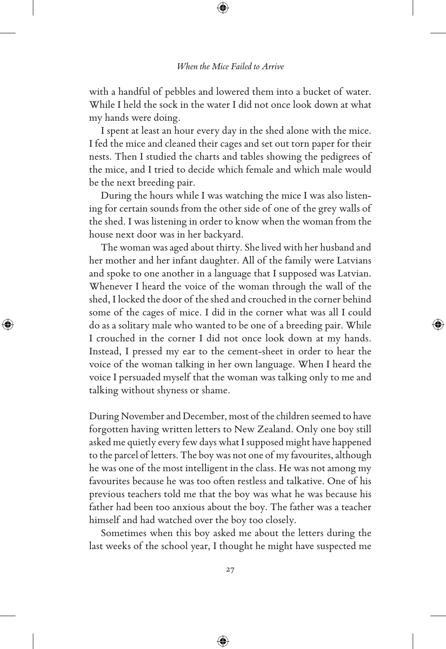⊕

with a handful of pebbles and lowered them into a bucket of water. While I held the sock in the water I did not once look down at what my hands were doing.

I spent at least an hour every day in the shed alone with the mice. I fed the mice and cleaned their cages and set out torn paper for their nests. Then I studied the charts and tables showing the pedigrees of the mice, and I tried to decide which female and which male would be the next breeding pair.

During the hours while I was watching the mice I was also listening for certain sounds from the other side of one of the grey walls of the shed. I was listening in order to know when the woman from the house next door was in her backyard.

The woman was aged about thirty. She lived with her husband and her mother and her infant daughter. All of the family were Latvians and spoke to one another in a language that I supposed was Latvian. Whenever I heard the voice of the woman through the wall of the shed, I locked the door of the shed and crouched in the corner behind some of the cages of mice. I did in the corner what was all I could do as a solitary male who wanted to be one of a breeding pair. While I crouched in the corner I did not once look down at my hands. Instead, I pressed my ear to the cement-sheet in order to hear the voice of the woman talking in her own language. When I heard the voice I persuaded myself that the woman was talking only to me and talking without shyness or shame.

⊕

During November and December, most of the children seemed to have forgotten having written letters to New Zealand. Only one boy still asked me quietly every few days what I supposed might have happened to the parcel of letters. The boy was not one of my favourites, although he was one of the most intelligent in the class. He was not among my favourites because he was too often restless and talkative. One of his previous teachers told me that the boy was what he was because his father had been too anxious about the boy. The father was a teacher himself and had watched over the boy too closely.

Sometimes when this boy asked me about the letters during the last weeks of the school year, I thought he might have suspected me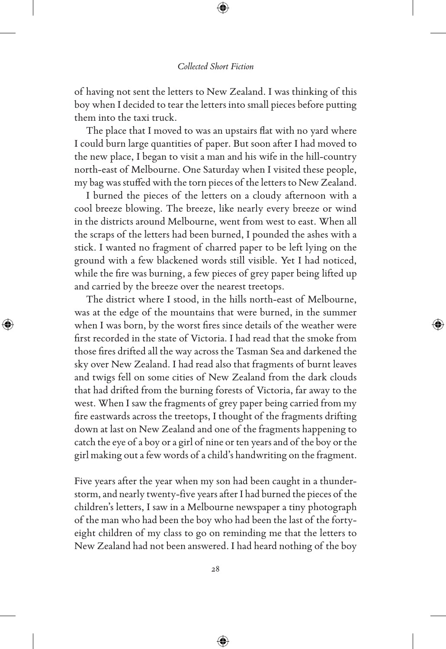of having not sent the letters to New Zealand. I was thinking of this boy when I decided to tear the letters into small pieces before putting them into the taxi truck.

The place that I moved to was an upstairs flat with no yard where I could burn large quantities of paper. But soon after I had moved to the new place, I began to visit a man and his wife in the hill-country north-east of Melbourne. One Saturday when I visited these people, my bag was stufed with the torn pieces of the letters to New Zealand.

I burned the pieces of the letters on a cloudy afternoon with a cool breeze blowing. The breeze, like nearly every breeze or wind in the districts around Melbourne, went from west to east. When all the scraps of the letters had been burned, I pounded the ashes with a stick. I wanted no fragment of charred paper to be left lying on the ground with a few blackened words still visible. Yet I had noticed, while the fire was burning, a few pieces of grey paper being lifted up and carried by the breeze over the nearest treetops.

The district where I stood, in the hills north-east of Melbourne, was at the edge of the mountains that were burned, in the summer when I was born, by the worst fires since details of the weather were first recorded in the state of Victoria. I had read that the smoke from those fires drifted all the way across the Tasman Sea and darkened the sky over New Zealand. I had read also that fragments of burnt leaves and twigs fell on some cities of New Zealand from the dark clouds that had drifted from the burning forests of Victoria, far away to the west. When I saw the fragments of grey paper being carried from my fire eastwards across the treetops, I thought of the fragments drifting down at last on New Zealand and one of the fragments happening to catch the eye of a boy or a girl of nine or ten years and of the boy or the girl making out a few words of a child's handwriting on the fragment.

⊕

Five years after the year when my son had been caught in a thunderstorm, and nearly twenty-five years after I had burned the pieces of the children's letters, I saw in a Melbourne newspaper a tiny photograph of the man who had been the boy who had been the last of the fortyeight children of my class to go on reminding me that the letters to New Zealand had not been answered. I had heard nothing of the boy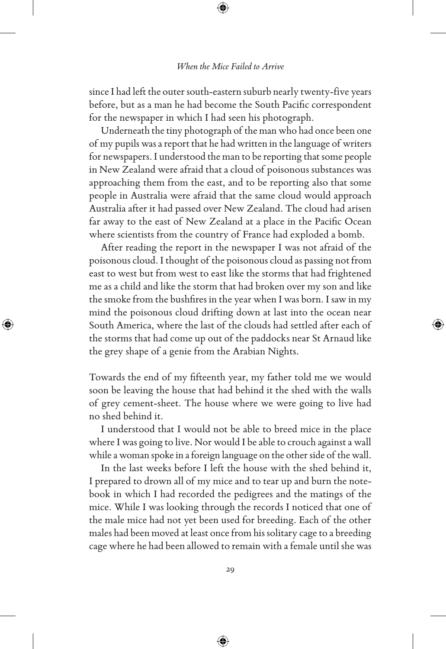since I had left the outer south-eastern suburb nearly twenty-five years before, but as a man he had become the South Pacific correspondent for the newspaper in which I had seen his photograph.

Underneath the tiny photograph of the man who had once been one of my pupils was a report that he had written in the language of writers for newspapers. I understood the man to be reporting that some people in New Zealand were afraid that a cloud of poisonous substances was approaching them from the east, and to be reporting also that some people in Australia were afraid that the same cloud would approach Australia after it had passed over New Zealand. The cloud had arisen far away to the east of New Zealand at a place in the Pacific Ocean where scientists from the country of France had exploded a bomb.

After reading the report in the newspaper I was not afraid of the poisonous cloud. I thought of the poisonous cloud as passing not from east to west but from west to east like the storms that had frightened me as a child and like the storm that had broken over my son and like the smoke from the bushfires in the year when I was born. I saw in my mind the poisonous cloud drifting down at last into the ocean near South America, where the last of the clouds had settled after each of the storms that had come up out of the paddocks near St Arnaud like the grey shape of a genie from the Arabian Nights.

⊕

Towards the end of my fifteenth year, my father told me we would soon be leaving the house that had behind it the shed with the walls of grey cement-sheet. The house where we were going to live had no shed behind it.

I understood that I would not be able to breed mice in the place where I was going to live. Nor would I be able to crouch against a wall while a woman spoke in a foreign language on the other side of the wall.

In the last weeks before I left the house with the shed behind it, I prepared to drown all of my mice and to tear up and burn the notebook in which I had recorded the pedigrees and the matings of the mice. While I was looking through the records I noticed that one of the male mice had not yet been used for breeding. Each of the other males had been moved at least once from his solitary cage to a breeding cage where he had been allowed to remain with a female until she was